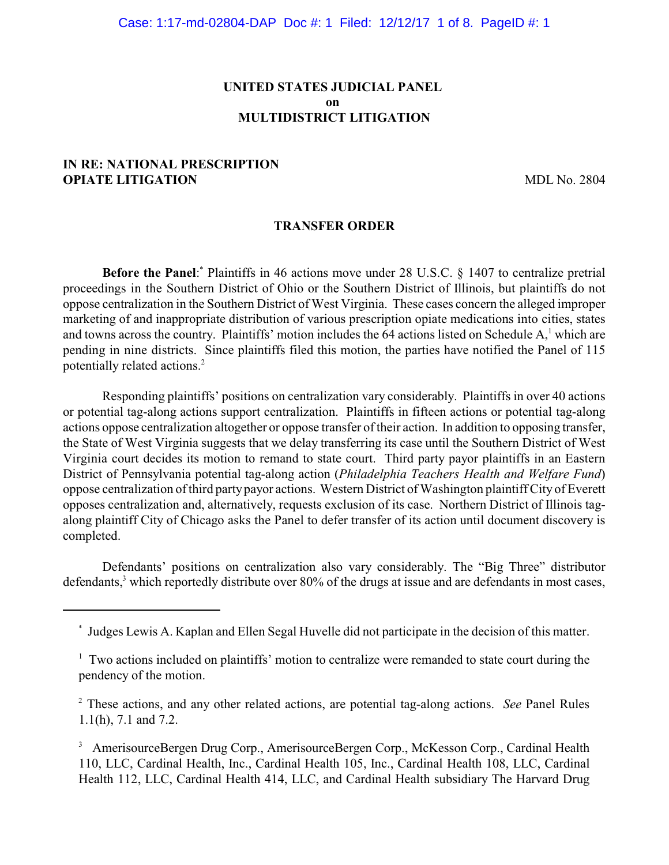# **UNITED STATES JUDICIAL PANEL on MULTIDISTRICT LITIGATION**

# **IN RE: NATIONAL PRESCRIPTION OPIATE LITIGATION MDL No. 2804**

#### **TRANSFER ORDER**

**Before the Panel:** Plaintiffs in 46 actions move under 28 U.S.C. § 1407 to centralize pretrial proceedings in the Southern District of Ohio or the Southern District of Illinois, but plaintiffs do not oppose centralization in the Southern District of West Virginia. These cases concern the alleged improper marketing of and inappropriate distribution of various prescription opiate medications into cities, states and towns across the country. Plaintiffs' motion includes the 64 actions listed on Schedule  $A<sub>i</sub><sup>1</sup>$  which are pending in nine districts. Since plaintiffs filed this motion, the parties have notified the Panel of 115 potentially related actions. <sup>2</sup>

Responding plaintiffs' positions on centralization vary considerably. Plaintiffs in over 40 actions or potential tag-along actions support centralization. Plaintiffs in fifteen actions or potential tag-along actions oppose centralization altogether or oppose transfer of their action. In addition to opposing transfer, the State of West Virginia suggests that we delay transferring its case until the Southern District of West Virginia court decides its motion to remand to state court. Third party payor plaintiffs in an Eastern District of Pennsylvania potential tag-along action (*Philadelphia Teachers Health and Welfare Fund*) oppose centralization of third party payor actions. Western District of Washington plaintiff City of Everett opposes centralization and, alternatively, requests exclusion of its case. Northern District of Illinois tagalong plaintiff City of Chicago asks the Panel to defer transfer of its action until document discovery is completed.

Defendants' positions on centralization also vary considerably. The "Big Three" distributor defendants,<sup>3</sup> which reportedly distribute over 80% of the drugs at issue and are defendants in most cases,

Judges Lewis A. Kaplan and Ellen Segal Huvelle did not participate in the decision of this matter. \*

 $1$  Two actions included on plaintiffs' motion to centralize were remanded to state court during the pendency of the motion.

<sup>&</sup>lt;sup>2</sup> These actions, and any other related actions, are potential tag-along actions. *See* Panel Rules 1.1(h), 7.1 and 7.2.

<sup>&</sup>lt;sup>3</sup> AmerisourceBergen Drug Corp., AmerisourceBergen Corp., McKesson Corp., Cardinal Health 110, LLC, Cardinal Health, Inc., Cardinal Health 105, Inc., Cardinal Health 108, LLC, Cardinal Health 112, LLC, Cardinal Health 414, LLC, and Cardinal Health subsidiary The Harvard Drug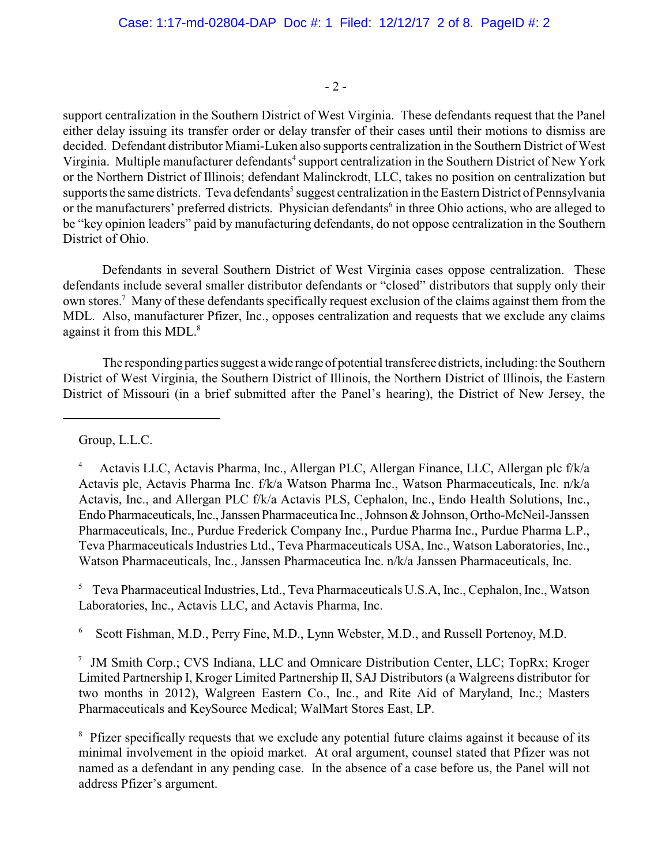- 2 -

support centralization in the Southern District of West Virginia. These defendants request that the Panel either delay issuing its transfer order or delay transfer of their cases until their motions to dismiss are decided. Defendant distributor Miami-Luken also supports centralization in the Southern District of West Virginia. Multiple manufacturer defendants<sup>4</sup> support centralization in the Southern District of New York or the Northern District of Illinois; defendant Malinckrodt, LLC, takes no position on centralization but supports the same districts. Teva defendants<sup>5</sup> suggest centralization in the Eastern District of Pennsylvania or the manufacturers' preferred districts. Physician defendants<sup>6</sup> in three Ohio actions, who are alleged to be "key opinion leaders" paid by manufacturing defendants, do not oppose centralization in the Southern District of Ohio.

Defendants in several Southern District of West Virginia cases oppose centralization. These defendants include several smaller distributor defendants or "closed" distributors that supply only their own stores.<sup>7</sup> Many of these defendants specifically request exclusion of the claims against them from the MDL. Also, manufacturer Pfizer, Inc., opposes centralization and requests that we exclude any claims against it from this MDL.<sup>8</sup>

The responding parties suggest a wide range of potential transferee districts, including: the Southern District of West Virginia, the Southern District of Illinois, the Northern District of Illinois, the Eastern District of Missouri (in a brief submitted after the Panel's hearing), the District of New Jersey, the

Group, L.L.C.

<sup>5</sup> Teva Pharmaceutical Industries, Ltd., Teva Pharmaceuticals U.S.A, Inc., Cephalon, Inc., Watson Laboratories, Inc., Actavis LLC, and Actavis Pharma, Inc.

 $6$  Scott Fishman, M.D., Perry Fine, M.D., Lynn Webster, M.D., and Russell Portenoy, M.D.

 $\frac{7}{1}$  JM Smith Corp.; CVS Indiana, LLC and Omnicare Distribution Center, LLC; TopRx; Kroger Limited Partnership I, Kroger Limited Partnership II, SAJ Distributors (a Walgreens distributor for two months in 2012), Walgreen Eastern Co., Inc., and Rite Aid of Maryland, Inc.; Masters Pharmaceuticals and KeySource Medical; WalMart Stores East, LP.

<sup>8</sup> Pfizer specifically requests that we exclude any potential future claims against it because of its minimal involvement in the opioid market. At oral argument, counsel stated that Pfizer was not named as a defendant in any pending case. In the absence of a case before us, the Panel will not address Pfizer's argument.

Actavis LLC, Actavis Pharma, Inc., Allergan PLC, Allergan Finance, LLC, Allergan plc f/k/a <sup>4</sup> Actavis plc, Actavis Pharma Inc. f/k/a Watson Pharma Inc., Watson Pharmaceuticals, Inc. n/k/a Actavis, Inc., and Allergan PLC f/k/a Actavis PLS, Cephalon, Inc., Endo Health Solutions, Inc., Endo Pharmaceuticals, Inc., Janssen Pharmaceutica Inc., Johnson & Johnson, Ortho-McNeil-Janssen Pharmaceuticals, Inc., Purdue Frederick Company Inc., Purdue Pharma Inc., Purdue Pharma L.P., Teva Pharmaceuticals Industries Ltd., Teva Pharmaceuticals USA, Inc., Watson Laboratories, Inc., Watson Pharmaceuticals, Inc., Janssen Pharmaceutica Inc. n/k/a Janssen Pharmaceuticals, Inc.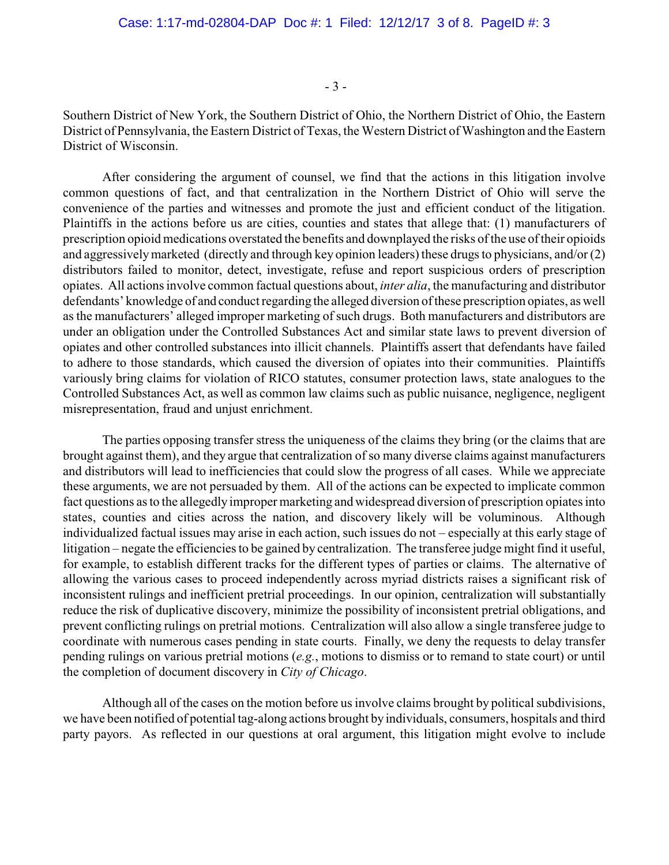- 3 -

Southern District of New York, the Southern District of Ohio, the Northern District of Ohio, the Eastern District of Pennsylvania, the Eastern District of Texas, the Western District of Washington and the Eastern District of Wisconsin.

After considering the argument of counsel, we find that the actions in this litigation involve common questions of fact, and that centralization in the Northern District of Ohio will serve the convenience of the parties and witnesses and promote the just and efficient conduct of the litigation. Plaintiffs in the actions before us are cities, counties and states that allege that: (1) manufacturers of prescription opioid medications overstated the benefits and downplayed the risks of the use of their opioids and aggressively marketed (directly and through key opinion leaders) these drugs to physicians, and/or (2) distributors failed to monitor, detect, investigate, refuse and report suspicious orders of prescription opiates. All actions involve common factual questions about, *inter alia*, the manufacturing and distributor defendants' knowledge of and conduct regarding the alleged diversion of these prescription opiates, as well as the manufacturers' alleged improper marketing of such drugs. Both manufacturers and distributors are under an obligation under the Controlled Substances Act and similar state laws to prevent diversion of opiates and other controlled substances into illicit channels. Plaintiffs assert that defendants have failed to adhere to those standards, which caused the diversion of opiates into their communities. Plaintiffs variously bring claims for violation of RICO statutes, consumer protection laws, state analogues to the Controlled Substances Act, as well as common law claims such as public nuisance, negligence, negligent misrepresentation, fraud and unjust enrichment.

The parties opposing transfer stress the uniqueness of the claims they bring (or the claims that are brought against them), and they argue that centralization of so many diverse claims against manufacturers and distributors will lead to inefficiencies that could slow the progress of all cases. While we appreciate these arguments, we are not persuaded by them. All of the actions can be expected to implicate common fact questions as to the allegedly improper marketing and widespread diversion of prescription opiates into states, counties and cities across the nation, and discovery likely will be voluminous. Although individualized factual issues may arise in each action, such issues do not – especially at this early stage of litigation – negate the efficiencies to be gained by centralization. The transferee judge might find it useful, for example, to establish different tracks for the different types of parties or claims. The alternative of allowing the various cases to proceed independently across myriad districts raises a significant risk of inconsistent rulings and inefficient pretrial proceedings. In our opinion, centralization will substantially reduce the risk of duplicative discovery, minimize the possibility of inconsistent pretrial obligations, and prevent conflicting rulings on pretrial motions. Centralization will also allow a single transferee judge to coordinate with numerous cases pending in state courts. Finally, we deny the requests to delay transfer pending rulings on various pretrial motions (*e.g.*, motions to dismiss or to remand to state court) or until the completion of document discovery in *City of Chicago*.

Although all of the cases on the motion before us involve claims brought by political subdivisions, we have been notified of potential tag-along actions brought by individuals, consumers, hospitals and third party payors. As reflected in our questions at oral argument, this litigation might evolve to include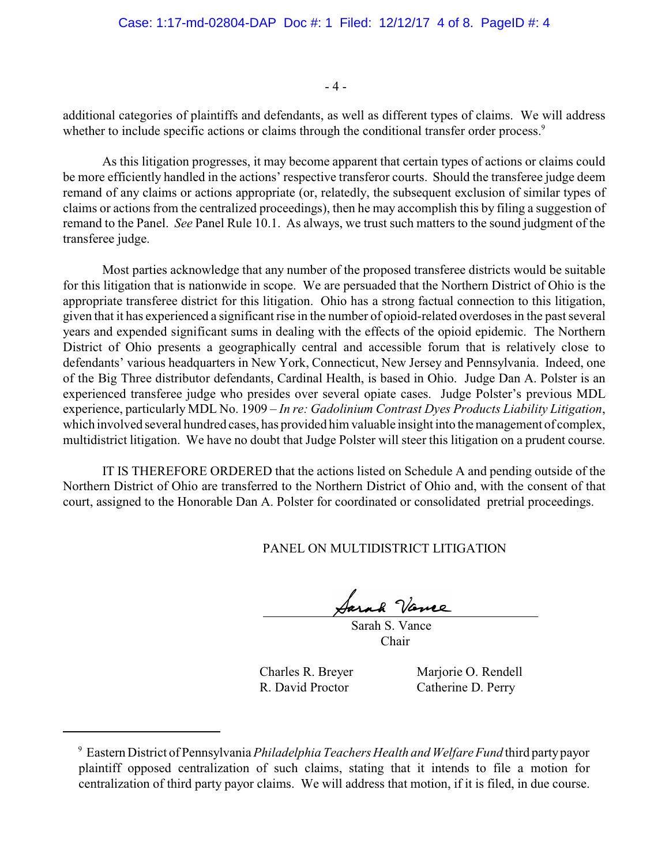- 4 -

additional categories of plaintiffs and defendants, as well as different types of claims. We will address whether to include specific actions or claims through the conditional transfer order process.<sup>9</sup>

As this litigation progresses, it may become apparent that certain types of actions or claims could be more efficiently handled in the actions' respective transferor courts. Should the transferee judge deem remand of any claims or actions appropriate (or, relatedly, the subsequent exclusion of similar types of claims or actions from the centralized proceedings), then he may accomplish this by filing a suggestion of remand to the Panel. *See* Panel Rule 10.1. As always, we trust such matters to the sound judgment of the transferee judge.

Most parties acknowledge that any number of the proposed transferee districts would be suitable for this litigation that is nationwide in scope. We are persuaded that the Northern District of Ohio is the appropriate transferee district for this litigation. Ohio has a strong factual connection to this litigation, given that it has experienced a significant rise in the number of opioid-related overdoses in the past several years and expended significant sums in dealing with the effects of the opioid epidemic. The Northern District of Ohio presents a geographically central and accessible forum that is relatively close to defendants' various headquarters in New York, Connecticut, New Jersey and Pennsylvania. Indeed, one of the Big Three distributor defendants, Cardinal Health, is based in Ohio. Judge Dan A. Polster is an experienced transferee judge who presides over several opiate cases. Judge Polster's previous MDL experience, particularly MDL No. 1909 – *In re: Gadolinium Contrast Dyes Products Liability Litigation*, which involved several hundred cases, has provided him valuable insight into the management of complex, multidistrict litigation. We have no doubt that Judge Polster will steer this litigation on a prudent course.

IT IS THEREFORE ORDERED that the actions listed on Schedule A and pending outside of the Northern District of Ohio are transferred to the Northern District of Ohio and, with the consent of that court, assigned to the Honorable Dan A. Polster for coordinated or consolidated pretrial proceedings.

PANEL ON MULTIDISTRICT LITIGATION

 Sarah S. Vance Chair

Charles R. Breyer Marjorie O. Rendell R. David Proctor Catherine D. Perry

Eastern District of Pennsylvania *Philadelphia Teachers Health and Welfare Fund* third party payor <sup>9</sup> plaintiff opposed centralization of such claims, stating that it intends to file a motion for centralization of third party payor claims. We will address that motion, if it is filed, in due course.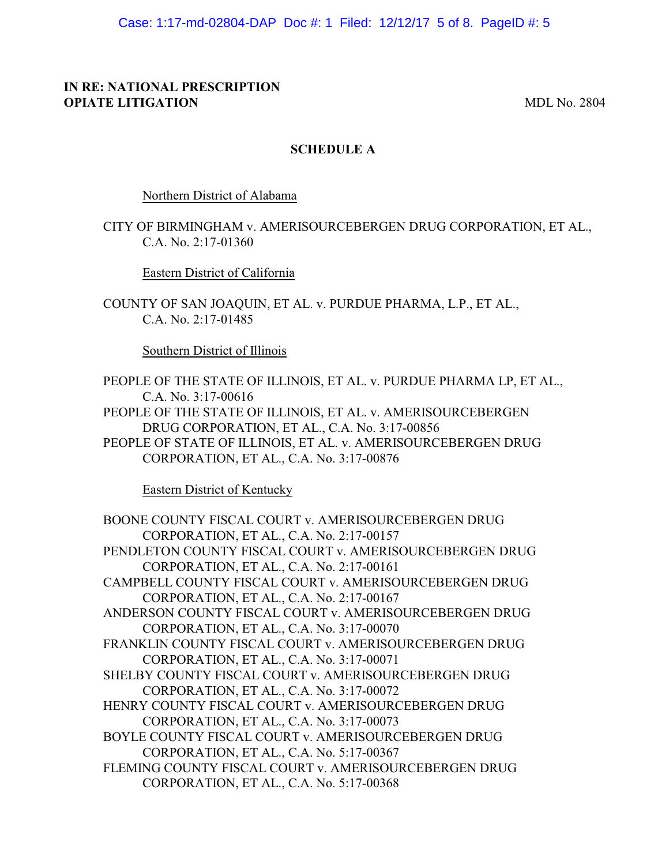Case: 1:17-md-02804-DAP Doc #: 1 Filed: 12/12/17 5 of 8. PageID #: 5

### **IN RE: NATIONAL PRESCRIPTION OPIATE LITIGATION MDL No. 2804**

# **SCHEDULE A**

Northern District of Alabama

CITY OF BIRMINGHAM v. AMERISOURCEBERGEN DRUG CORPORATION, ET AL., C.A. No. 2:17-01360

Eastern District of California

COUNTY OF SAN JOAQUIN, ET AL. v. PURDUE PHARMA, L.P., ET AL., C.A. No. 2:17-01485

Southern District of Illinois

- PEOPLE OF THE STATE OF ILLINOIS, ET AL. v. PURDUE PHARMA LP, ET AL., C.A. No. 3:17-00616
- PEOPLE OF THE STATE OF ILLINOIS, ET AL. v. AMERISOURCEBERGEN DRUG CORPORATION, ET AL., C.A. No. 3:17-00856
- PEOPLE OF STATE OF ILLINOIS, ET AL. v. AMERISOURCEBERGEN DRUG CORPORATION, ET AL., C.A. No. 3:17-00876

Eastern District of Kentucky

BOONE COUNTY FISCAL COURT v. AMERISOURCEBERGEN DRUG CORPORATION, ET AL., C.A. No. 2:17-00157 PENDLETON COUNTY FISCAL COURT v. AMERISOURCEBERGEN DRUG CORPORATION, ET AL., C.A. No. 2:17-00161 CAMPBELL COUNTY FISCAL COURT v. AMERISOURCEBERGEN DRUG CORPORATION, ET AL., C.A. No. 2:17-00167 ANDERSON COUNTY FISCAL COURT v. AMERISOURCEBERGEN DRUG CORPORATION, ET AL., C.A. No. 3:17-00070 FRANKLIN COUNTY FISCAL COURT v. AMERISOURCEBERGEN DRUG CORPORATION, ET AL., C.A. No. 3:17-00071 SHELBY COUNTY FISCAL COURT v. AMERISOURCEBERGEN DRUG CORPORATION, ET AL., C.A. No. 3:17-00072 HENRY COUNTY FISCAL COURT v. AMERISOURCEBERGEN DRUG CORPORATION, ET AL., C.A. No. 3:17-00073 BOYLE COUNTY FISCAL COURT v. AMERISOURCEBERGEN DRUG CORPORATION, ET AL., C.A. No. 5:17-00367 FLEMING COUNTY FISCAL COURT v. AMERISOURCEBERGEN DRUG CORPORATION, ET AL., C.A. No. 5:17-00368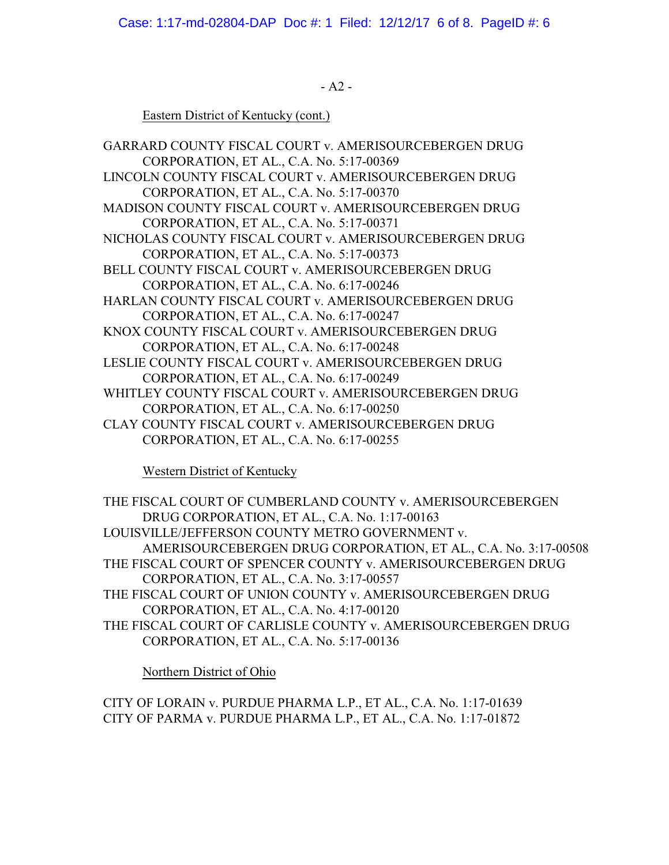Case: 1:17-md-02804-DAP Doc #: 1 Filed: 12/12/17 6 of 8. PageID #: 6

- A2 -

Eastern District of Kentucky (cont.)

GARRARD COUNTY FISCAL COURT v. AMERISOURCEBERGEN DRUG CORPORATION, ET AL., C.A. No. 5:17-00369 LINCOLN COUNTY FISCAL COURT v. AMERISOURCEBERGEN DRUG CORPORATION, ET AL., C.A. No. 5:17-00370 MADISON COUNTY FISCAL COURT v. AMERISOURCEBERGEN DRUG CORPORATION, ET AL., C.A. No. 5:17-00371 NICHOLAS COUNTY FISCAL COURT v. AMERISOURCEBERGEN DRUG CORPORATION, ET AL., C.A. No. 5:17-00373 BELL COUNTY FISCAL COURT v. AMERISOURCEBERGEN DRUG CORPORATION, ET AL., C.A. No. 6:17-00246 HARLAN COUNTY FISCAL COURT v. AMERISOURCEBERGEN DRUG CORPORATION, ET AL., C.A. No. 6:17-00247 KNOX COUNTY FISCAL COURT v. AMERISOURCEBERGEN DRUG CORPORATION, ET AL., C.A. No. 6:17-00248 LESLIE COUNTY FISCAL COURT v. AMERISOURCEBERGEN DRUG CORPORATION, ET AL., C.A. No. 6:17-00249 WHITLEY COUNTY FISCAL COURT v. AMERISOURCEBERGEN DRUG CORPORATION, ET AL., C.A. No. 6:17-00250 CLAY COUNTY FISCAL COURT v. AMERISOURCEBERGEN DRUG CORPORATION, ET AL., C.A. No. 6:17-00255

Western District of Kentucky

- THE FISCAL COURT OF CUMBERLAND COUNTY v. AMERISOURCEBERGEN DRUG CORPORATION, ET AL., C.A. No. 1:17-00163 LOUISVILLE/JEFFERSON COUNTY METRO GOVERNMENT v. AMERISOURCEBERGEN DRUG CORPORATION, ET AL., C.A. No. 3:17-00508 THE FISCAL COURT OF SPENCER COUNTY v. AMERISOURCEBERGEN DRUG
	- CORPORATION, ET AL., C.A. No. 3:17-00557
- THE FISCAL COURT OF UNION COUNTY v. AMERISOURCEBERGEN DRUG CORPORATION, ET AL., C.A. No. 4:17-00120
- THE FISCAL COURT OF CARLISLE COUNTY v. AMERISOURCEBERGEN DRUG CORPORATION, ET AL., C.A. No. 5:17-00136

Northern District of Ohio

CITY OF LORAIN v. PURDUE PHARMA L.P., ET AL., C.A. No. 1:17-01639 CITY OF PARMA v. PURDUE PHARMA L.P., ET AL., C.A. No. 1:17-01872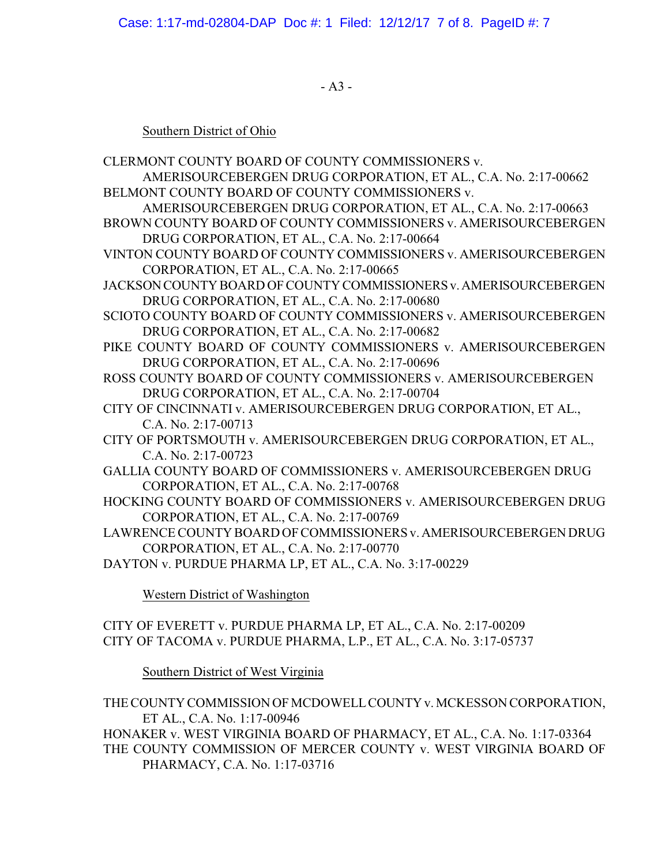- A3 -

# Southern District of Ohio

- CLERMONT COUNTY BOARD OF COUNTY COMMISSIONERS v. AMERISOURCEBERGEN DRUG CORPORATION, ET AL., C.A. No. 2:17-00662 BELMONT COUNTY BOARD OF COUNTY COMMISSIONERS v.
- AMERISOURCEBERGEN DRUG CORPORATION, ET AL., C.A. No. 2:17-00663 BROWN COUNTY BOARD OF COUNTY COMMISSIONERS v. AMERISOURCEBERGEN DRUG CORPORATION, ET AL., C.A. No. 2:17-00664
- VINTON COUNTY BOARD OF COUNTY COMMISSIONERS v. AMERISOURCEBERGEN CORPORATION, ET AL., C.A. No. 2:17-00665
- JACKSON COUNTY BOARD OF COUNTY COMMISSIONERS v. AMERISOURCEBERGEN DRUG CORPORATION, ET AL., C.A. No. 2:17-00680
- SCIOTO COUNTY BOARD OF COUNTY COMMISSIONERS v. AMERISOURCEBERGEN DRUG CORPORATION, ET AL., C.A. No. 2:17-00682
- PIKE COUNTY BOARD OF COUNTY COMMISSIONERS v. AMERISOURCEBERGEN DRUG CORPORATION, ET AL., C.A. No. 2:17-00696
- ROSS COUNTY BOARD OF COUNTY COMMISSIONERS v. AMERISOURCEBERGEN DRUG CORPORATION, ET AL., C.A. No. 2:17-00704
- CITY OF CINCINNATI v. AMERISOURCEBERGEN DRUG CORPORATION, ET AL., C.A. No. 2:17-00713
- CITY OF PORTSMOUTH v. AMERISOURCEBERGEN DRUG CORPORATION, ET AL., C.A. No. 2:17-00723
- GALLIA COUNTY BOARD OF COMMISSIONERS v. AMERISOURCEBERGEN DRUG CORPORATION, ET AL., C.A. No. 2:17-00768
- HOCKING COUNTY BOARD OF COMMISSIONERS v. AMERISOURCEBERGEN DRUG CORPORATION, ET AL., C.A. No. 2:17-00769
- LAWRENCE COUNTY BOARD OF COMMISSIONERS v. AMERISOURCEBERGEN DRUG CORPORATION, ET AL., C.A. No. 2:17-00770
- DAYTON v. PURDUE PHARMA LP, ET AL., C.A. No. 3:17-00229

Western District of Washington

CITY OF EVERETT v. PURDUE PHARMA LP, ET AL., C.A. No. 2:17-00209 CITY OF TACOMA v. PURDUE PHARMA, L.P., ET AL., C.A. No. 3:17-05737

Southern District of West Virginia

THE COUNTY COMMISSION OF MCDOWELL COUNTY v. MCKESSON CORPORATION, ET AL., C.A. No. 1:17-00946

HONAKER v. WEST VIRGINIA BOARD OF PHARMACY, ET AL., C.A. No. 1:17-03364 THE COUNTY COMMISSION OF MERCER COUNTY v. WEST VIRGINIA BOARD OF PHARMACY, C.A. No. 1:17-03716